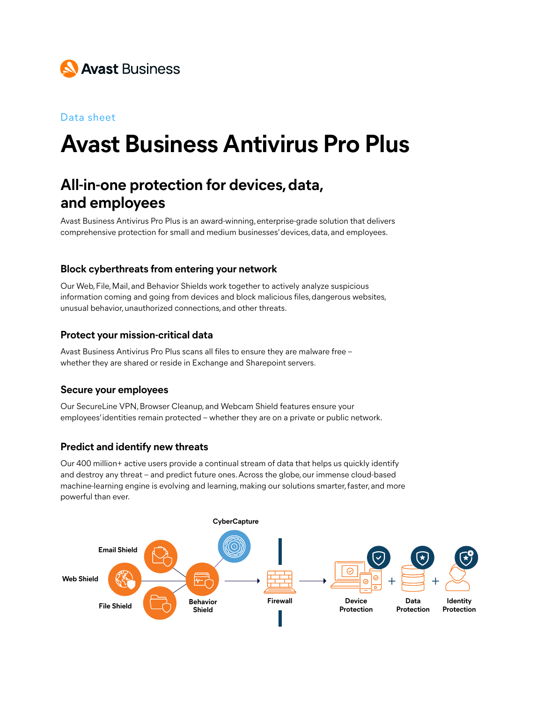

#### Data sheet

# **Avast Business Antivirus Pro Plus**

# **All-in-one protection for devices, data, and employees**

Avast Business Antivirus Pro Plus is an award-winning, enterprise-grade solution that delivers comprehensive protection for small and medium businesses' devices, data, and employees.

#### **Block cyberthreats from entering your network**

Our Web, File, Mail, and Behavior Shields work together to actively analyze suspicious information coming and going from devices and block malicious files, dangerous websites, unusual behavior, unauthorized connections, and other threats. **Email Shield**

#### **Protect your mission-critical data**

Avast Business Antivirus Pro Plus scans all files to ensure they are malware free – whether they are shared or reside in Exchange and Sharepoint servers.

#### **Secure your employees**

Our SecureLine VPN, Browser Cleanup, and Webcam Shield features ensure your employees' identities remain protected – whether they are on a private or public network.

#### **Predict and identify new threats**

Our 400 million+ active users provide a continual stream of data that helps us quickly identify and destroy any threat – and predict future ones. Across the globe, our immense cloud-based machine-learning engine is evolving and learning, making our solutions smarter, faster, and more powerful than ever.

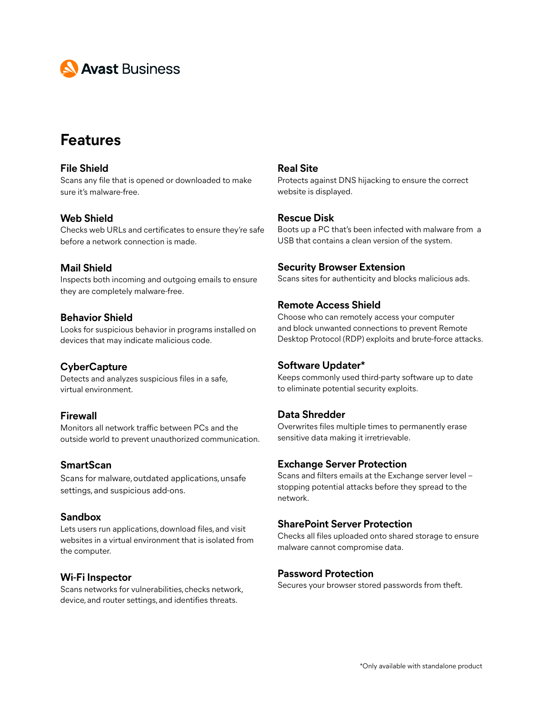

# **Features**

#### **File Shield** Scans any file that is opened or downloaded to make sure it's malware-free.

#### **Web Shield**

Checks web URLs and certificates to ensure they're safe before a network connection is made.

#### **Mail Shield**

Inspects both incoming and outgoing emails to ensure they are completely malware-free.

#### **Behavior Shield**

Looks for suspicious behavior in programs installed on devices that may indicate malicious code.

#### **CyberCapture**

Detects and analyzes suspicious files in a safe, virtual environment.

#### **Firewall**

Monitors all network traffic between PCs and the outside world to prevent unauthorized communication.

#### **SmartScan**

Scans for malware, outdated applications, unsafe settings, and suspicious add-ons.

#### **Sandbox**

Lets users run applications, download files, and visit websites in a virtual environment that is isolated from the computer.

#### **Wi-Fi Inspector**

Scans networks for vulnerabilities, checks network, device, and router settings, and identifies threats.

#### **Real Site**

Protects against DNS hijacking to ensure the correct website is displayed.

#### **Rescue Disk**

Boots up a PC that's been infected with malware from a USB that contains a clean version of the system.

#### **Security Browser Extension**

Scans sites for authenticity and blocks malicious ads.

#### **Remote Access Shield**

Choose who can remotely access your computer and block unwanted connections to prevent Remote Desktop Protocol (RDP) exploits and brute-force attacks.

#### **Software Updater\***

Keeps commonly used third-party software up to date to eliminate potential security exploits.

#### **Data Shredder**

Overwrites files multiple times to permanently erase sensitive data making it irretrievable.

#### **Exchange Server Protection**

Scans and filters emails at the Exchange server level – stopping potential attacks before they spread to the network.

#### **SharePoint Server Protection**

Checks all files uploaded onto shared storage to ensure malware cannot compromise data.

#### **Password Protection**

Secures your browser stored passwords from theft.